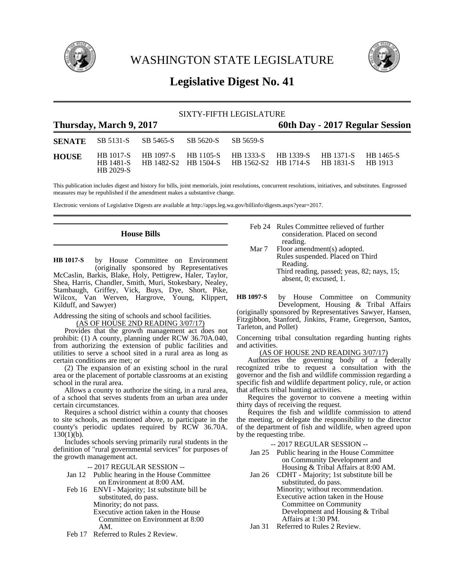

WASHINGTON STATE LEGISLATURE



# **Legislative Digest No. 41**

| SIXTY-FIFTH LEGISLATURE                                    |           |                                                                                                                                                |  |           |  |  |  |  |
|------------------------------------------------------------|-----------|------------------------------------------------------------------------------------------------------------------------------------------------|--|-----------|--|--|--|--|
| Thursday, March 9, 2017<br>60th Day - 2017 Regular Session |           |                                                                                                                                                |  |           |  |  |  |  |
|                                                            |           | <b>SENATE</b> SB 5131-S SB 5465-S SB 5620-S                                                                                                    |  | SB 5659-S |  |  |  |  |
| <b>HOUSE</b>                                               | HB 2029-S | HB 1017-S HB 1097-S HB 1105-S HB 1333-S HB 1339-S HB 1371-S HB 1465-S<br>HB 1481-S HB 1482-S2 HB 1504-S HB 1562-S2 HB 1714-S HB 1831-S HB 1913 |  |           |  |  |  |  |

This publication includes digest and history for bills, joint memorials, joint resolutions, concurrent resolutions, initiatives, and substitutes. Engrossed measures may be republished if the amendment makes a substantive change.

Electronic versions of Legislative Digests are available at http://apps.leg.wa.gov/billinfo/digests.aspx?year=2017.

## **House Bills**

by House Committee on Environment (originally sponsored by Representatives McCaslin, Barkis, Blake, Holy, Pettigrew, Haler, Taylor, Shea, Harris, Chandler, Smith, Muri, Stokesbary, Nealey, Stambaugh, Griffey, Vick, Buys, Dye, Short, Pike, Wilcox, Van Werven, Hargrove, Young, Klippert, Kilduff, and Sawyer) **HB 1017-S**

Addressing the siting of schools and school facilities.

(AS OF HOUSE 2ND READING 3/07/17)

Provides that the growth management act does not prohibit: (1) A county, planning under RCW 36.70A.040, from authorizing the extension of public facilities and utilities to serve a school sited in a rural area as long as certain conditions are met; or

(2) The expansion of an existing school in the rural area or the placement of portable classrooms at an existing school in the rural area.

Allows a county to authorize the siting, in a rural area, of a school that serves students from an urban area under certain circumstances.

Requires a school district within a county that chooses to site schools, as mentioned above, to participate in the county's periodic updates required by RCW 36.70A.  $130(1)(b)$ .

Includes schools serving primarily rural students in the definition of "rural governmental services" for purposes of the growth management act.

-- 2017 REGULAR SESSION --

- Jan 12 Public hearing in the House Committee on Environment at 8:00 AM.
- Feb 16 ENVI Majority; 1st substitute bill be substituted, do pass. Minority; do not pass.

Executive action taken in the House

- Committee on Environment at 8:00 AM.
- Feb 17 Referred to Rules 2 Review.
- Feb 24 Rules Committee relieved of further consideration. Placed on second reading.
- Mar 7 Floor amendment(s) adopted. Rules suspended. Placed on Third Reading. Third reading, passed; yeas, 82; nays, 15; absent, 0; excused, 1.

by House Committee on Community Development, Housing & Tribal Affairs **HB 1097-S**

(originally sponsored by Representatives Sawyer, Hansen, Fitzgibbon, Stanford, Jinkins, Frame, Gregerson, Santos, Tarleton, and Pollet)

Concerning tribal consultation regarding hunting rights and activities.

(AS OF HOUSE 2ND READING 3/07/17)

Authorizes the governing body of a federally recognized tribe to request a consultation with the governor and the fish and wildlife commission regarding a specific fish and wildlife department policy, rule, or action that affects tribal hunting activities.

Requires the governor to convene a meeting within thirty days of receiving the request.

Requires the fish and wildlife commission to attend the meeting, or delegate the responsibility to the director of the department of fish and wildlife, when agreed upon by the requesting tribe.

-- 2017 REGULAR SESSION --

- Jan 25 Public hearing in the House Committee on Community Development and Housing & Tribal Affairs at 8:00 AM.
- Jan 26 CDHT Majority; 1st substitute bill be substituted, do pass. Minority; without recommendation.

Executive action taken in the House

Committee on Community Development and Housing & Tribal

Affairs at 1:30 PM.

Jan 31 Referred to Rules 2 Review.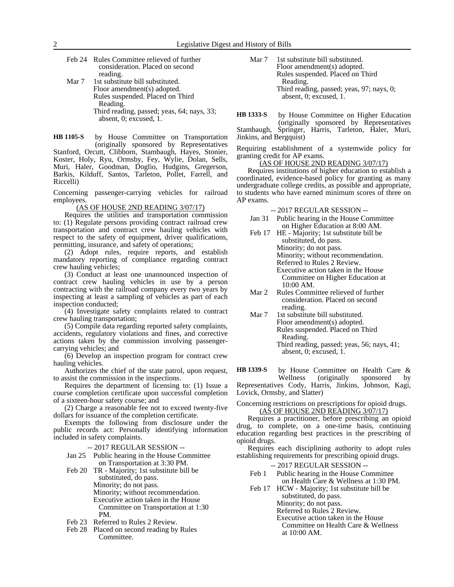|       | Feb 24 Rules Committee relieved of further |
|-------|--------------------------------------------|
|       | consideration. Placed on second            |
|       | reading.                                   |
| Mar 7 | 1st substitute bill substituted.           |
|       | Floor amendment(s) adopted.                |
|       | Rules suspended. Placed on Third           |
|       | Reading.                                   |
|       | Third reading, passed; yeas, 64; nays, 33; |
|       | absent, 0; excused, 1.                     |

by House Committee on Transportation (originally sponsored by Representatives Stanford, Orcutt, Clibborn, Stambaugh, Hayes, Stonier, Koster, Holy, Ryu, Ormsby, Fey, Wylie, Dolan, Sells, Muri, Haler, Goodman, Doglio, Hudgins, Gregerson, Barkis, Kilduff, Santos, Tarleton, Pollet, Farrell, and Riccelli) **HB 1105-S**

Concerning passenger-carrying vehicles for railroad employees.

(AS OF HOUSE 2ND READING 3/07/17)

Requires the utilities and transportation commission to: (1) Regulate persons providing contract railroad crew transportation and contract crew hauling vehicles with respect to the safety of equipment, driver qualifications, permitting, insurance, and safety of operations;

(2) Adopt rules, require reports, and establish mandatory reporting of compliance regarding contract crew hauling vehicles;

(3) Conduct at least one unannounced inspection of contract crew hauling vehicles in use by a person contracting with the railroad company every two years by inspecting at least a sampling of vehicles as part of each inspection conducted;

(4) Investigate safety complaints related to contract crew hauling transportation;

(5) Compile data regarding reported safety complaints, accidents, regulatory violations and fines, and corrective actions taken by the commission involving passengercarrying vehicles; and

(6) Develop an inspection program for contract crew hauling vehicles.

Authorizes the chief of the state patrol, upon request, to assist the commission in the inspections.

Requires the department of licensing to: (1) Issue a course completion certificate upon successful completion of a sixteen-hour safety course; and

(2) Charge a reasonable fee not to exceed twenty-five dollars for issuance of the completion certificate.

Exempts the following from disclosure under the public records act: Personally identifying information included in safety complaints.

-- 2017 REGULAR SESSION --

- Jan 25 Public hearing in the House Committee on Transportation at 3:30 PM.
- Feb 20 TR Majority; 1st substitute bill be substituted, do pass. Minority; do not pass. Minority; without recommendation. Executive action taken in the House Committee on Transportation at 1:30 PM.
- Feb 23 Referred to Rules 2 Review.
- Feb 28 Placed on second reading by Rules Committee.

Mar 7 1st substitute bill substituted. Floor amendment(s) adopted. Rules suspended. Placed on Third Reading. Third reading, passed; yeas, 97; nays, 0; absent, 0; excused, 1.

by House Committee on Higher Education (originally sponsored by Representatives Stambaugh, Springer, Harris, Tarleton, Haler, Muri, Jinkins, and Bergquist) **HB 1333-S**

Requiring establishment of a systemwide policy for granting credit for AP exams.

## (AS OF HOUSE 2ND READING 3/07/17)

Requires institutions of higher education to establish a coordinated, evidence-based policy for granting as many undergraduate college credits, as possible and appropriate, to students who have earned minimum scores of three on AP exams.

-- 2017 REGULAR SESSION --

- Jan 31 Public hearing in the House Committee on Higher Education at 8:00 AM.
- Feb 17 HE Majority; 1st substitute bill be substituted, do pass. Minority; do not pass. Minority; without recommendation. Referred to Rules 2 Review. Executive action taken in the House Committee on Higher Education at 10:00 AM.
- Mar 2 Rules Committee relieved of further consideration. Placed on second reading.
- Mar 7 1st substitute bill substituted. Floor amendment(s) adopted. Rules suspended. Placed on Third Reading. Third reading, passed; yeas, 56; nays, 41; absent, 0; excused, 1.

by House Committee on Health Care &<br>Wellness (originally sponsored by sponsored by Representatives Cody, Harris, Jinkins, Johnson, Kagi, **HB 1339-S**

Lovick, Ormsby, and Slatter)

Concerning restrictions on prescriptions for opioid drugs. (AS OF HOUSE 2ND READING 3/07/17)

Requires a practitioner, before prescribing an opioid drug, to complete, on a one-time basis, continuing education regarding best practices in the prescribing of opioid drugs.

Requires each disciplining authority to adopt rules establishing requirements for prescribing opioid drugs.

-- 2017 REGULAR SESSION -- Feb 1 Public hearing in the House Committee on Health Care & Wellness at 1:30 PM. Feb 17 HCW - Majority; 1st substitute bill be

substituted, do pass. Minority; do not pass. Referred to Rules 2 Review. Executive action taken in the House Committee on Health Care & Wellness

at 10:00 AM.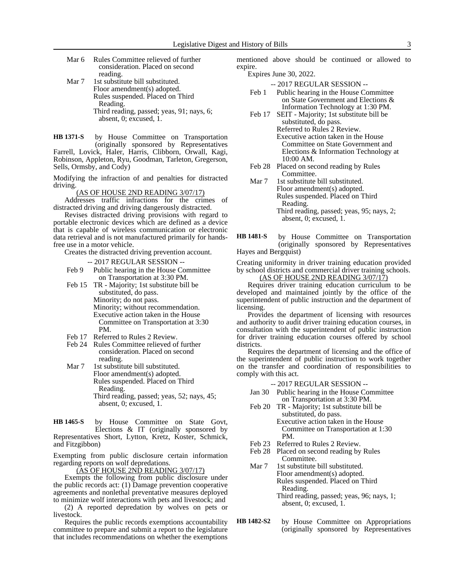| Mar 6                         | Rules Committee relieved of further |  |  |  |  |
|-------------------------------|-------------------------------------|--|--|--|--|
|                               | consideration. Placed on second     |  |  |  |  |
|                               | reading.                            |  |  |  |  |
| $\mathbf{M} \cdot \mathbf{H}$ | 4 1. 1. 111 1. 1                    |  |  |  |  |

Mar 7 1st substitute bill substituted. Floor amendment(s) adopted. Rules suspended. Placed on Third Reading. Third reading, passed; yeas, 91; nays, 6; absent, 0; excused, 1.

by House Committee on Transportation (originally sponsored by Representatives Farrell, Lovick, Haler, Harris, Clibborn, Orwall, Kagi, Robinson, Appleton, Ryu, Goodman, Tarleton, Gregerson, Sells, Ormsby, and Cody) **HB 1371-S**

Modifying the infraction of and penalties for distracted driving.

(AS OF HOUSE 2ND READING 3/07/17)

Addresses traffic infractions for the crimes of distracted driving and driving dangerously distracted.

Revises distracted driving provisions with regard to portable electronic devices which are defined as a device that is capable of wireless communication or electronic data retrieval and is not manufactured primarily for handsfree use in a motor vehicle.

Creates the distracted driving prevention account.

-- 2017 REGULAR SESSION --

- Feb 9 Public hearing in the House Committee on Transportation at 3:30 PM.
- Feb 15 TR Majority; 1st substitute bill be substituted, do pass. Minority; do not pass. Minority; without recommendation. Executive action taken in the House Committee on Transportation at 3:30 PM.
- Feb 17 Referred to Rules 2 Review.
- Feb 24 Rules Committee relieved of further consideration. Placed on second reading.
- Mar 7 1st substitute bill substituted. Floor amendment(s) adopted. Rules suspended. Placed on Third Reading. Third reading, passed; yeas, 52; nays, 45; absent, 0; excused, 1.

by House Committee on State Govt, Elections & IT (originally sponsored by Representatives Short, Lytton, Kretz, Koster, Schmick, and Fitzgibbon) **HB 1465-S**

Exempting from public disclosure certain information regarding reports on wolf depredations.

(AS OF HOUSE 2ND READING 3/07/17)

Exempts the following from public disclosure under the public records act: (1) Damage prevention cooperative agreements and nonlethal preventative measures deployed to minimize wolf interactions with pets and livestock; and

(2) A reported depredation by wolves on pets or livestock.

Requires the public records exemptions accountability committee to prepare and submit a report to the legislature that includes recommendations on whether the exemptions

mentioned above should be continued or allowed to expire.

Expires June 30, 2022.

-- 2017 REGULAR SESSION --

- Feb 1 Public hearing in the House Committee on State Government and Elections & Information Technology at 1:30 PM.
- Feb 17 SEIT Majority; 1st substitute bill be substituted, do pass. Referred to Rules 2 Review. Executive action taken in the House Committee on State Government and Elections & Information Technology at 10:00 AM.
- Feb 28 Placed on second reading by Rules Committee.
- Mar 7 1st substitute bill substituted. Floor amendment(s) adopted. Rules suspended. Placed on Third Reading. Third reading, passed; yeas, 95; nays, 2; absent, 0; excused, 1.
- by House Committee on Transportation (originally sponsored by Representatives Hayes and Bergquist) **HB 1481-S**

Creating uniformity in driver training education provided by school districts and commercial driver training schools.

(AS OF HOUSE 2ND READING 3/07/17)

Requires driver training education curriculum to be developed and maintained jointly by the office of the superintendent of public instruction and the department of licensing.

Provides the department of licensing with resources and authority to audit driver training education courses, in consultation with the superintendent of public instruction for driver training education courses offered by school districts.

Requires the department of licensing and the office of the superintendent of public instruction to work together on the transfer and coordination of responsibilities to comply with this act.

-- 2017 REGULAR SESSION --

- Jan 30 Public hearing in the House Committee on Transportation at 3:30 PM.
- Feb 20 TR Majority; 1st substitute bill be substituted, do pass.

Executive action taken in the House Committee on Transportation at 1:30 PM.

- Feb 23 Referred to Rules 2 Review.
- Feb 28 Placed on second reading by Rules Committee.
- Mar 7 1st substitute bill substituted. Floor amendment(s) adopted. Rules suspended. Placed on Third Reading. Third reading, passed; yeas, 96; nays, 1; absent, 0; excused, 1.
- by House Committee on Appropriations (originally sponsored by Representatives **HB 1482-S2**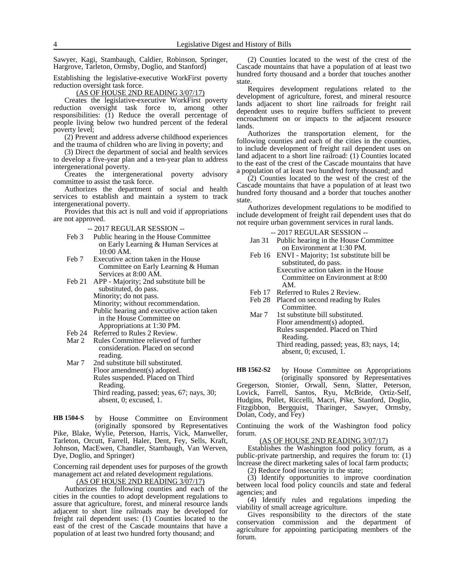Sawyer, Kagi, Stambaugh, Caldier, Robinson, Springer, Hargrove, Tarleton, Ormsby, Doglio, and Stanford)

Establishing the legislative-executive WorkFirst poverty reduction oversight task force.

(AS OF HOUSE 2ND READING 3/07/17)

Creates the legislative-executive WorkFirst poverty reduction oversight task force to, among other responsibilities: (1) Reduce the overall percentage of people living below two hundred percent of the federal poverty level;

(2) Prevent and address adverse childhood experiences and the trauma of children who are living in poverty; and

(3) Direct the department of social and health services to develop a five-year plan and a ten-year plan to address intergenerational poverty.

Creates the intergenerational poverty advisory committee to assist the task force.

Authorizes the department of social and health services to establish and maintain a system to track intergenerational poverty.

Provides that this act is null and void if appropriations are not approved.

-- 2017 REGULAR SESSION --

- Feb 3 Public hearing in the House Committee on Early Learning & Human Services at 10:00 AM.
- Feb 7 Executive action taken in the House Committee on Early Learning & Human Services at 8:00 AM.
- Feb 21 APP Majority; 2nd substitute bill be substituted, do pass. Minority; do not pass. Minority; without recommendation. Public hearing and executive action taken in the House Committee on Appropriations at 1:30 PM.
- Feb 24 Referred to Rules 2 Review.
- Mar 2 Rules Committee relieved of further consideration. Placed on second reading.
- Mar 7 2nd substitute bill substituted. Floor amendment(s) adopted. Rules suspended. Placed on Third Reading. Third reading, passed; yeas, 67; nays, 30; absent, 0; excused, 1.

by House Committee on Environment (originally sponsored by Representatives Pike, Blake, Wylie, Peterson, Harris, Vick, Manweller, Tarleton, Orcutt, Farrell, Haler, Dent, Fey, Sells, Kraft, Johnson, MacEwen, Chandler, Stambaugh, Van Werven, Dye, Doglio, and Springer) **HB 1504-S**

Concerning rail dependent uses for purposes of the growth management act and related development regulations.

## (AS OF HOUSE 2ND READING 3/07/17)

Authorizes the following counties and each of the cities in the counties to adopt development regulations to assure that agriculture, forest, and mineral resource lands adjacent to short line railroads may be developed for freight rail dependent uses: (1) Counties located to the east of the crest of the Cascade mountains that have a population of at least two hundred forty thousand; and

(2) Counties located to the west of the crest of the Cascade mountains that have a population of at least two hundred forty thousand and a border that touches another state.

Requires development regulations related to the development of agriculture, forest, and mineral resource lands adjacent to short line railroads for freight rail dependent uses to require buffers sufficient to prevent encroachment on or impacts to the adjacent resource lands.

Authorizes the transportation element, for the following counties and each of the cities in the counties, to include development of freight rail dependent uses on land adjacent to a short line railroad: (1) Counties located to the east of the crest of the Cascade mountains that have a population of at least two hundred forty thousand; and

(2) Counties located to the west of the crest of the Cascade mountains that have a population of at least two hundred forty thousand and a border that touches another state.

Authorizes development regulations to be modified to include development of freight rail dependent uses that do not require urban government services in rural lands.

#### -- 2017 REGULAR SESSION --

- Jan 31 Public hearing in the House Committee on Environment at 1:30 PM.
- Feb 16 ENVI Majority; 1st substitute bill be substituted, do pass. Executive action taken in the House Committee on Environment at 8:00 AM.
- Feb 17 Referred to Rules 2 Review.
- Feb 28 Placed on second reading by Rules Committee.
- Mar 7 1st substitute bill substituted. Floor amendment(s) adopted. Rules suspended. Placed on Third Reading. Third reading, passed; yeas, 83; nays, 14; absent, 0; excused, 1.

by House Committee on Appropriations (originally sponsored by Representatives **HB 1562-S2**

Gregerson, Stonier, Orwall, Senn, Slatter, Peterson, Lovick, Farrell, Santos, Ryu, McBride, Ortiz-Self, Hudgins, Pollet, Riccelli, Macri, Pike, Stanford, Doglio, Fitzgibbon, Bergquist, Tharinger, Sawyer, Ormsby, Dolan, Cody, and Fey)

Continuing the work of the Washington food policy forum.

## (AS OF HOUSE 2ND READING 3/07/17)

Establishes the Washington food policy forum, as a public-private partnership, and requires the forum to: (1) Increase the direct marketing sales of local farm products;

(2) Reduce food insecurity in the state;

(3) Identify opportunities to improve coordination between local food policy councils and state and federal agencies; and

(4) Identify rules and regulations impeding the viability of small acreage agriculture.

Gives responsibility to the directors of the state conservation commission and the department of agriculture for appointing participating members of the forum.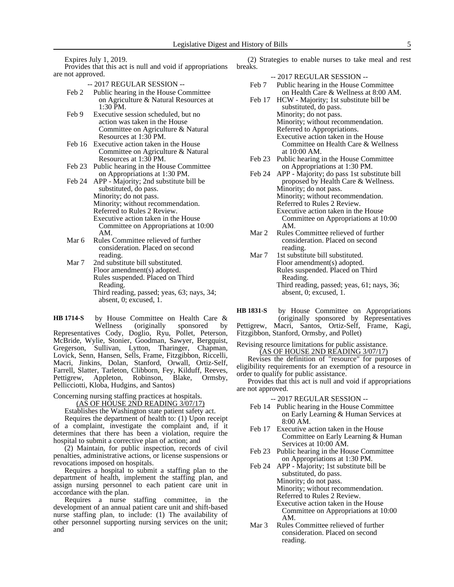Expires July 1, 2019.

Provides that this act is null and void if appropriations are not approved.

- -- 2017 REGULAR SESSION --
- Feb 2 Public hearing in the House Committee on Agriculture & Natural Resources at 1:30 PM.
- Feb 9 Executive session scheduled, but no action was taken in the House Committee on Agriculture & Natural Resources at 1:30 PM.
- Feb 16 Executive action taken in the House Committee on Agriculture & Natural Resources at 1:30 PM.
- Feb 23 Public hearing in the House Committee on Appropriations at 1:30 PM.
- Feb 24 APP Majority; 2nd substitute bill be substituted, do pass. Minority; do not pass. Minority; without recommendation. Referred to Rules 2 Review. Executive action taken in the House Committee on Appropriations at 10:00 AM.
- Mar 6 Rules Committee relieved of further consideration. Placed on second reading.
- Mar 7 2nd substitute bill substituted. Floor amendment(s) adopted. Rules suspended. Placed on Third Reading. Third reading, passed; yeas, 63; nays, 34; absent, 0; excused, 1.

by House Committee on Health Care &<br>Wellness (originally sponsored by (originally sponsored by Representatives Cody, Doglio, Ryu, Pollet, Peterson, McBride, Wylie, Stonier, Goodman, Sawyer, Bergquist, Gregerson, Sullivan, Lytton, Tharinger, Chapman, Lovick, Senn, Hansen, Sells, Frame, Fitzgibbon, Riccelli, Macri, Jinkins, Dolan, Stanford, Orwall, Ortiz-Self, Farrell, Slatter, Tarleton, Clibborn, Fey, Kilduff, Reeves, Pettigrew, Appleton, Robinson, Blake, Ormsby, Robinson, Blake, Ormsby, Pellicciotti, Kloba, Hudgins, and Santos) **HB 1714-S**

Concerning nursing staffing practices at hospitals.

(AS OF HOUSE 2ND READING 3/07/17)

Establishes the Washington state patient safety act.

Requires the department of health to: (1) Upon receipt of a complaint, investigate the complaint and, if it determines that there has been a violation, require the hospital to submit a corrective plan of action; and

(2) Maintain, for public inspection, records of civil penalties, administrative actions, or license suspensions or revocations imposed on hospitals.

Requires a hospital to submit a staffing plan to the department of health, implement the staffing plan, and assign nursing personnel to each patient care unit in accordance with the plan.

Requires a nurse staffing committee, in the development of an annual patient care unit and shift-based nurse staffing plan, to include: (1) The availability of other personnel supporting nursing services on the unit; and

(2) Strategies to enable nurses to take meal and rest breaks.

- -- 2017 REGULAR SESSION --
- Feb 7 Public hearing in the House Committee on Health Care & Wellness at 8:00 AM.
- Feb 17 HCW Majority; 1st substitute bill be substituted, do pass. Minority; do not pass. Minority; without recommendation. Referred to Appropriations. Executive action taken in the House Committee on Health Care & Wellness at 10:00 AM.
- Feb 23 Public hearing in the House Committee on Appropriations at 1:30 PM.
- Feb 24 APP Majority; do pass 1st substitute bill proposed by Health Care & Wellness. Minority; do not pass. Minority; without recommendation. Referred to Rules 2 Review. Executive action taken in the House Committee on Appropriations at 10:00 AM.
- Mar 2 Rules Committee relieved of further consideration. Placed on second reading.
- Mar 7 1st substitute bill substituted. Floor amendment(s) adopted. Rules suspended. Placed on Third Reading. Third reading, passed; yeas, 61; nays, 36; absent, 0; excused, 1.

by House Committee on Appropriations (originally sponsored by Representatives **HB 1831-S**

Pettigrew, Macri, Santos, Ortiz-Self, Frame, Kagi, Fitzgibbon, Stanford, Ormsby, and Pollet)

Revising resource limitations for public assistance. (AS OF HOUSE 2ND READING 3/07/17)

Revises the definition of "resource" for purposes of eligibility requirements for an exemption of a resource in order to qualify for public assistance.

Provides that this act is null and void if appropriations are not approved.

-- 2017 REGULAR SESSION --

- Feb 14 Public hearing in the House Committee on Early Learning & Human Services at 8:00 AM.
- Feb 17 Executive action taken in the House Committee on Early Learning & Human Services at 10:00 AM.
- Feb 23 Public hearing in the House Committee on Appropriations at 1:30 PM.
- Feb 24 APP Majority; 1st substitute bill be substituted, do pass. Minority; do not pass. Minority; without recommendation. Referred to Rules 2 Review. Executive action taken in the House Committee on Appropriations at 10:00 AM.
- Mar 3 Rules Committee relieved of further consideration. Placed on second reading.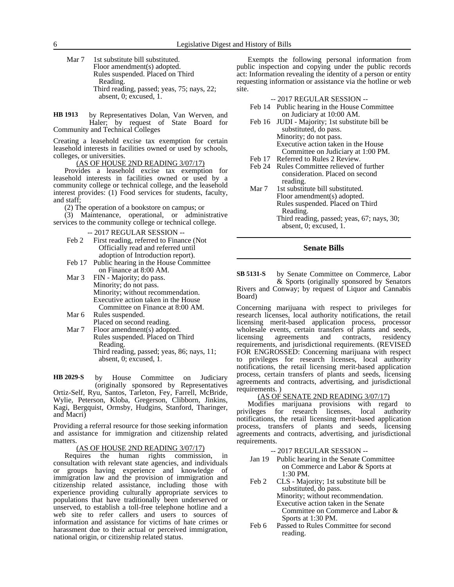Mar 7 1st substitute bill substituted. Floor amendment(s) adopted. Rules suspended. Placed on Third Reading. Third reading, passed; yeas, 75; nays, 22; absent, 0; excused, 1.

by Representatives Dolan, Van Werven, and Haler; by request of State Board for Community and Technical Colleges **HB 1913**

Creating a leasehold excise tax exemption for certain leasehold interests in facilities owned or used by schools, colleges, or universities.

(AS OF HOUSE 2ND READING 3/07/17)

Provides a leasehold excise tax exemption for leasehold interests in facilities owned or used by a community college or technical college, and the leasehold interest provides: (1) Food services for students, faculty, and staff;

(2) The operation of a bookstore on campus; or

(3) Maintenance, operational, or administrative services to the community college or technical college.

-- 2017 REGULAR SESSION --

- Feb 2 First reading, referred to Finance (Not Officially read and referred until adoption of Introduction report).
- Feb 17 Public hearing in the House Committee on Finance at 8:00 AM.
- Mar 3 FIN Majority; do pass. Minority; do not pass. Minority; without recommendation. Executive action taken in the House Committee on Finance at 8:00 AM.
- Mar 6 Rules suspended.
- Placed on second reading. Mar 7 Floor amendment(s) adopted.
	- Rules suspended. Placed on Third Reading. Third reading, passed; yeas, 86; nays, 11; absent, 0; excused, 1.

by House Committee on Judiciary (originally sponsored by Representatives Ortiz-Self, Ryu, Santos, Tarleton, Fey, Farrell, McBride, Wylie, Peterson, Kloba, Gregerson, Clibborn, Jinkins, Kagi, Bergquist, Ormsby, Hudgins, Stanford, Tharinger, and Macri) **HB 2029-S**

Providing a referral resource for those seeking information and assistance for immigration and citizenship related matters.

### (AS OF HOUSE 2ND READING 3/07/17)

Requires the human rights commission, in consultation with relevant state agencies, and individuals or groups having experience and knowledge of immigration law and the provision of immigration and citizenship related assistance, including those with experience providing culturally appropriate services to populations that have traditionally been underserved or unserved, to establish a toll-free telephone hotline and a web site to refer callers and users to sources of information and assistance for victims of hate crimes or harassment due to their actual or perceived immigration, national origin, or citizenship related status.

Exempts the following personal information from public inspection and copying under the public records act: Information revealing the identity of a person or entity requesting information or assistance via the hotline or web site.

-- 2017 REGULAR SESSION --

- Feb 14 Public hearing in the House Committee on Judiciary at 10:00 AM.
- Feb 16 JUDI Majority; 1st substitute bill be substituted, do pass. Minority; do not pass. Executive action taken in the House Committee on Judiciary at 1:00 PM.
- Feb 17 Referred to Rules 2 Review.
- Feb 24 Rules Committee relieved of further consideration. Placed on second reading.
- Mar 7 1st substitute bill substituted. Floor amendment(s) adopted. Rules suspended. Placed on Third Reading. Third reading, passed; yeas, 67; nays, 30; absent, 0; excused, 1.

## **Senate Bills**

by Senate Committee on Commerce, Labor & Sports (originally sponsored by Senators Rivers and Conway; by request of Liquor and Cannabis Board) **SB 5131-S**

Concerning marijuana with respect to privileges for research licenses, local authority notifications, the retail licensing merit-based application process, processor wholesale events, certain transfers of plants and seeds, licensing agreements and contracts, residency agreements and contracts, requirements, and jurisdictional requirements. (REVISED FOR ENGROSSED: Concerning marijuana with respect to privileges for research licenses, local authority notifications, the retail licensing merit-based application process, certain transfers of plants and seeds, licensing agreements and contracts, advertising, and jurisdictional requirements. )

#### (AS OF SENATE 2ND READING 3/07/17)

Modifies marijuana provisions with regard to privileges for research licenses, notifications, the retail licensing merit-based application process, transfers of plants and seeds, licensing agreements and contracts, advertising, and jurisdictional requirements.

-- 2017 REGULAR SESSION --

- Jan 19 Public hearing in the Senate Committee on Commerce and Labor & Sports at 1:30 PM.
- Feb 2 CLS Majority; 1st substitute bill be substituted, do pass. Minority; without recommendation. Executive action taken in the Senate Committee on Commerce and Labor & Sports at 1:30 PM.
- Feb 6 Passed to Rules Committee for second reading.